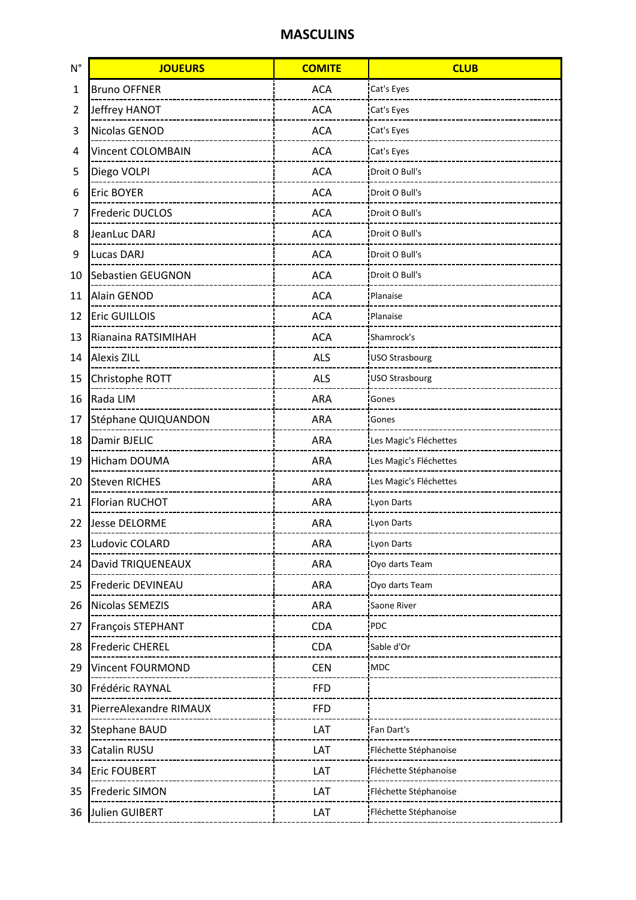## **MASCULINS**

| $N^{\circ}$ | <b>JOUEURS</b>          | <b>COMITE</b> | <b>CLUB</b>            |
|-------------|-------------------------|---------------|------------------------|
| 1           | <b>Bruno OFFNER</b>     | <b>ACA</b>    | Cat's Eyes             |
| 2           | Jeffrey HANOT           | <b>ACA</b>    | Cat's Eyes             |
| 3           | Nicolas GENOD           | <b>ACA</b>    | Cat's Eyes             |
| 4           | Vincent COLOMBAIN       | <b>ACA</b>    | Cat's Eyes             |
| 5           | Diego VOLPI             | <b>ACA</b>    | Droit O Bull's         |
| 6           | Eric BOYER              | <b>ACA</b>    | Droit O Bull's         |
| 7           | Frederic DUCLOS         | <b>ACA</b>    | Droit O Bull's         |
| 8           | JeanLuc DARJ            | <b>ACA</b>    | Droit O Bull's         |
| 9           | Lucas DARJ              | <b>ACA</b>    | Droit O Bull's         |
| 10          | Sebastien GEUGNON       | <b>ACA</b>    | Droit O Bull's         |
| 11          | Alain GENOD             | <b>ACA</b>    | Planaise               |
| 12          | <b>Eric GUILLOIS</b>    | <b>ACA</b>    | Planaise               |
| 13          | Rianaina RATSIMIHAH     | <b>ACA</b>    | Shamrock's             |
| 14          | <b>Alexis ZILL</b>      | <b>ALS</b>    | <b>USO Strasbourg</b>  |
| 15          | Christophe ROTT         | <b>ALS</b>    | <b>USO Strasbourg</b>  |
| 16          | Rada LIM                | ARA           | Gones                  |
| 17          | Stéphane QUIQUANDON     | <b>ARA</b>    | Gones                  |
| 18          | Damir BJELIC            | ARA           | Les Magic's Fléchettes |
| 19          | Hicham DOUMA            | ARA           | Les Magic's Fléchettes |
| 20          | <b>Steven RICHES</b>    | ARA           | Les Magic's Fléchettes |
| 21          | <b>Florian RUCHOT</b>   | <b>ARA</b>    | Lyon Darts             |
| 22          | <b>Jesse DELORME</b>    | <b>ARA</b>    | Lyon Darts             |
| 23          | Ludovic COLARD          | ARA           | Lyon Darts             |
| 24          | David TRIQUENEAUX       | ARA           | Oyo darts Team         |
| 25          | Frederic DEVINEAU       | ARA           | Oyo darts Team         |
| 26          | Nicolas SEMEZIS         | ARA           | Saone River            |
| 27          | François STEPHANT       | CDA           | PDC                    |
| 28          | <b>Frederic CHEREL</b>  | CDA           | Sable d'Or             |
| 29          | <b>Vincent FOURMOND</b> | <b>CEN</b>    | MDC                    |
| 30          | Frédéric RAYNAL         | <b>FFD</b>    |                        |
| 31          | PierreAlexandre RIMAUX  | <b>FFD</b>    |                        |
| 32          | <b>Stephane BAUD</b>    | LAT           | Fan Dart's             |
| 33          | Catalin RUSU            | LAT           | Fléchette Stéphanoise  |
| 34          | <b>Eric FOUBERT</b>     | LAT           | Fléchette Stéphanoise  |
| 35          | Frederic SIMON          | LAT           | Fléchette Stéphanoise  |
| 36          | Julien GUIBERT          | LAT           | Fléchette Stéphanoise  |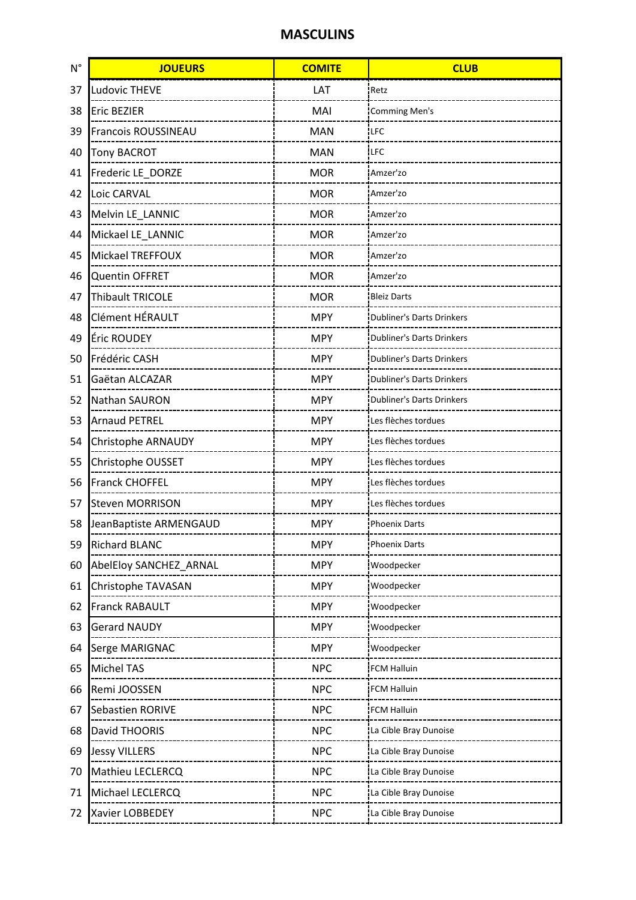## **MASCULINS**

| $N^{\circ}$ | <b>JOUEURS</b>         | <b>COMITE</b> | <b>CLUB</b>                      |
|-------------|------------------------|---------------|----------------------------------|
| 37          | <b>Ludovic THEVE</b>   | LAT           | Retz                             |
| 38          | <b>Eric BEZIER</b>     | MAI           | <b>Comming Men's</b>             |
| 39          | Francois ROUSSINEAU    | <b>MAN</b>    | <b>LFC</b>                       |
| 40          | <b>Tony BACROT</b>     | <b>MAN</b>    | <b>LFC</b>                       |
| 41          | Frederic LE_DORZE      | <b>MOR</b>    | Amzer'zo                         |
| 42          | Loic CARVAL            | <b>MOR</b>    | Amzer'zo                         |
| 43          | Melvin LE_LANNIC       | <b>MOR</b>    | Amzer'zo                         |
| 44          | Mickael LE_LANNIC      | <b>MOR</b>    | Amzer'zo                         |
| 45          | Mickael TREFFOUX       | <b>MOR</b>    | Amzer'zo                         |
| 46          | <b>Quentin OFFRET</b>  | <b>MOR</b>    | Amzer'zo                         |
| 47          | Thibault TRICOLE       | <b>MOR</b>    | <b>Bleiz Darts</b>               |
| 48          | Clément HÉRAULT        | <b>MPY</b>    | <b>Dubliner's Darts Drinkers</b> |
| 49          | Éric ROUDEY            | <b>MPY</b>    | <b>Dubliner's Darts Drinkers</b> |
| 50          | Frédéric CASH          | <b>MPY</b>    | <b>Dubliner's Darts Drinkers</b> |
| 51          | Gaëtan ALCAZAR         | <b>MPY</b>    | <b>Dubliner's Darts Drinkers</b> |
| 52          | Nathan SAURON          | <b>MPY</b>    | <b>Dubliner's Darts Drinkers</b> |
| 53          | <b>Arnaud PETREL</b>   | <b>MPY</b>    | Les flèches tordues              |
| 54          | Christophe ARNAUDY     | <b>MPY</b>    | Les flèches tordues              |
| 55          | Christophe OUSSET      | <b>MPY</b>    | Les flèches tordues              |
| 56          | <b>Franck CHOFFEL</b>  | <b>MPY</b>    | Les flèches tordues              |
| 57          | <b>Steven MORRISON</b> | <b>MPY</b>    | Les flèches tordues              |
| 58          | JeanBaptiste ARMENGAUD | <b>MPY</b>    | <b>Phoenix Darts</b>             |
| 59          | <b>Richard BLANC</b>   | <b>MPY</b>    | <b>Phoenix Darts</b>             |
| 60          | AbelEloy SANCHEZ ARNAL | <b>MPY</b>    | Woodpecker                       |
| 61          | Christophe TAVASAN     | <b>MPY</b>    | Woodpecker                       |
| 62          | <b>Franck RABAULT</b>  | <b>MPY</b>    | Woodpecker                       |
| 63          | <b>Gerard NAUDY</b>    | <b>MPY</b>    | Woodpecker                       |
| 64          | Serge MARIGNAC         | <b>MPY</b>    | Woodpecker                       |
| 65          | Michel TAS             | <b>NPC</b>    | <b>FCM Halluin</b>               |
| 66          | Remi JOOSSEN           | <b>NPC</b>    | FCM Halluin                      |
| 67          | Sebastien RORIVE       | <b>NPC</b>    | FCM Halluin                      |
| 68          | David THOORIS          | <b>NPC</b>    | La Cible Bray Dunoise            |
| 69          | <b>Jessy VILLERS</b>   | <b>NPC</b>    | La Cible Bray Dunoise            |
| 70          | Mathieu LECLERCQ       | <b>NPC</b>    | La Cible Bray Dunoise            |
| 71          | Michael LECLERCQ       | <b>NPC</b>    | La Cible Bray Dunoise            |
| 72          | Xavier LOBBEDEY        | <b>NPC</b>    | La Cible Bray Dunoise            |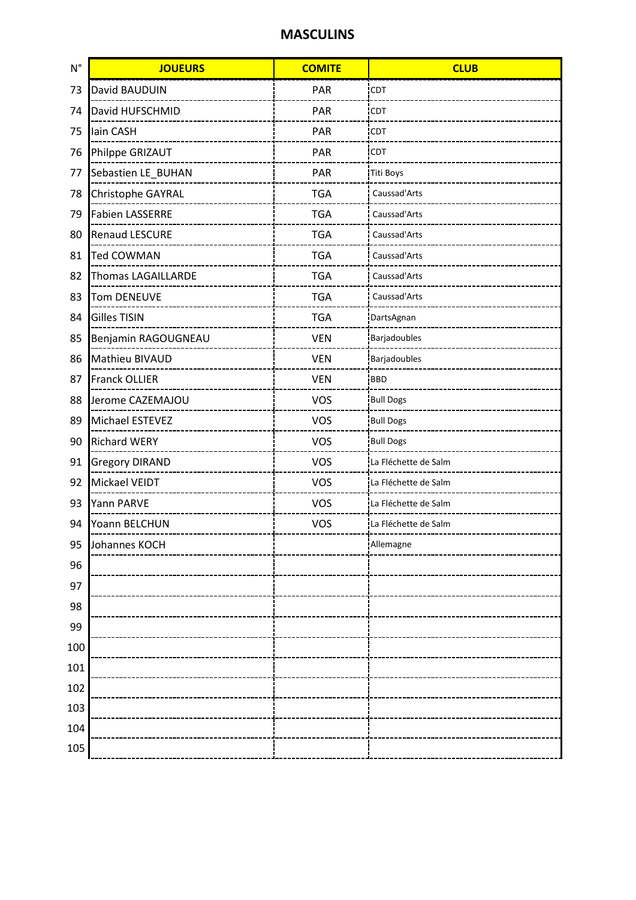## **MASCULINS**

| $N^{\circ}$ | <b>JOUEURS</b>         | <b>COMITE</b> | <b>CLUB</b>          |
|-------------|------------------------|---------------|----------------------|
| 73          | David BAUDUIN          | PAR           | CDT                  |
| 74          | David HUFSCHMID        | PAR           | <b>CDT</b>           |
| 75          | lain CASH              | PAR           | <b>CDT</b>           |
| 76          | Philppe GRIZAUT        | PAR           | <b>CDT</b>           |
| 77          | Sebastien LE BUHAN     | PAR           | <b>Titi Boys</b>     |
| 78          | Christophe GAYRAL      | <b>TGA</b>    | Caussad'Arts         |
| 79          | <b>Fabien LASSERRE</b> | <b>TGA</b>    | Caussad'Arts         |
| 80          | <b>Renaud LESCURE</b>  | <b>TGA</b>    | Caussad'Arts         |
| 81          | <b>Ted COWMAN</b>      | <b>TGA</b>    | Caussad'Arts         |
| 82          | Thomas LAGAILLARDE     | <b>TGA</b>    | Caussad'Arts         |
| 83          | Tom DENEUVE            | <b>TGA</b>    | Caussad'Arts         |
| 84          | <b>Gilles TISIN</b>    | <b>TGA</b>    | DartsAgnan           |
| 85          | Benjamin RAGOUGNEAU    | <b>VEN</b>    | Barjadoubles         |
| 86          | Mathieu BIVAUD         | <b>VEN</b>    | Barjadoubles         |
| 87          | Franck OLLIER          | <b>VEN</b>    | <b>BBD</b>           |
| 88          | Jerome CAZEMAJOU       | <b>VOS</b>    | <b>Bull Dogs</b>     |
| 89          | Michael ESTEVEZ        | <b>VOS</b>    | <b>Bull Dogs</b>     |
| 90          | <b>Richard WERY</b>    | <b>VOS</b>    | <b>Bull Dogs</b>     |
| 91          | <b>Gregory DIRAND</b>  | <b>VOS</b>    | La Fléchette de Salm |
| 92          | Mickael VEIDT          | <b>VOS</b>    | La Fléchette de Salm |
| 93          | Yann PARVE             | <b>VOS</b>    | La Fléchette de Salm |
| 94          | Yoann BELCHUN          | <b>VOS</b>    | La Fléchette de Salm |
| 95          | Johannes KOCH          |               | Allemagne            |
| 96          |                        |               |                      |
| 97          |                        |               |                      |
| 98          |                        |               |                      |
| 99          |                        |               |                      |
| 100         |                        |               |                      |
| 101         |                        |               |                      |
| 102         |                        |               |                      |
| 103         |                        |               |                      |
| 104         |                        |               |                      |
| 105         |                        |               |                      |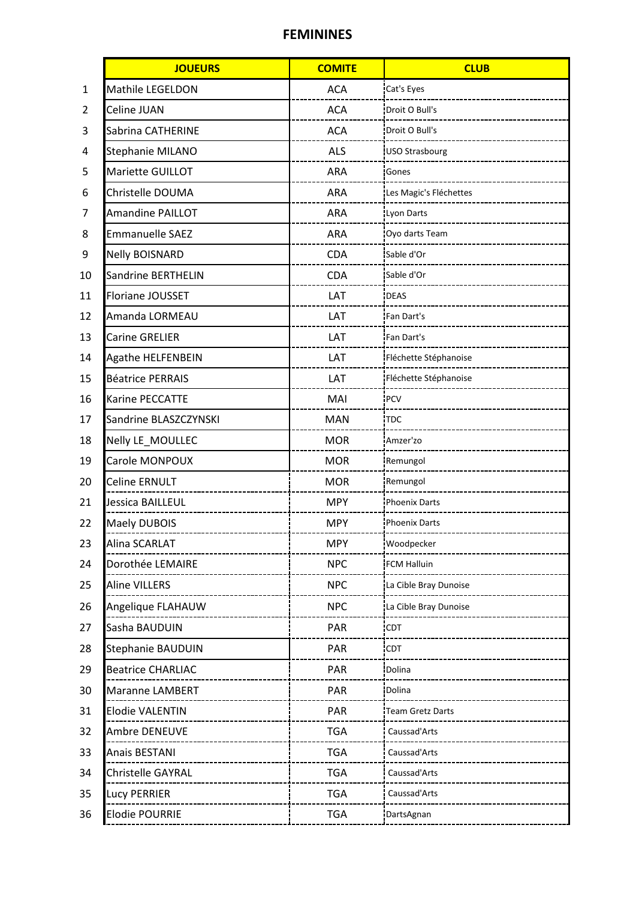## FEMININES

|    | <b>JOUEURS</b>           | <b>COMITE</b> | <b>CLUB</b>             |
|----|--------------------------|---------------|-------------------------|
| 1  | Mathile LEGELDON         | <b>ACA</b>    | Cat's Eyes              |
| 2  | Celine JUAN              | <b>ACA</b>    | Droit O Bull's          |
| 3  | Sabrina CATHERINE        | <b>ACA</b>    | Droit O Bull's          |
| 4  | Stephanie MILANO         | <b>ALS</b>    | <b>USO Strasbourg</b>   |
| 5  | Mariette GUILLOT         | ARA           | Gones                   |
| 6  | Christelle DOUMA         | <b>ARA</b>    | Les Magic's Fléchettes  |
| 7  | <b>Amandine PAILLOT</b>  | <b>ARA</b>    | Lyon Darts              |
| 8  | <b>Emmanuelle SAEZ</b>   | <b>ARA</b>    | Oyo darts Team          |
| 9  | <b>Nelly BOISNARD</b>    | <b>CDA</b>    | Sable d'Or              |
| 10 | Sandrine BERTHELIN       | CDA           | Sable d'Or              |
| 11 | Floriane JOUSSET         | LAT           | <b>DEAS</b>             |
| 12 | Amanda LORMEAU           | LAT           | Fan Dart's              |
| 13 | <b>Carine GRELIER</b>    | LAT           | Fan Dart's              |
| 14 | Agathe HELFENBEIN        | LAT           | Fléchette Stéphanoise   |
| 15 | <b>Béatrice PERRAIS</b>  | LAT           | Fléchette Stéphanoise   |
| 16 | Karine PECCATTE          | MAI           | PCV                     |
| 17 | Sandrine BLASZCZYNSKI    | <b>MAN</b>    | <b>TDC</b>              |
| 18 | Nelly LE_MOULLEC         | <b>MOR</b>    | Amzer'zo                |
| 19 | Carole MONPOUX           | <b>MOR</b>    | Remungol                |
| 20 | <b>Celine ERNULT</b>     | <b>MOR</b>    | Remungol                |
| 21 | Jessica BAILLEUL         | <b>MPY</b>    | <b>Phoenix Darts</b>    |
| 22 | Maely DUBOIS             | <b>MPY</b>    | <b>Phoenix Darts</b>    |
| 23 | Alina SCARLAT            | <b>MPY</b>    | Woodpecker              |
| 24 | Dorothée LEMAIRE         | <b>NPC</b>    | <b>FCM Halluin</b>      |
| 25 | Aline VILLERS            | <b>NPC</b>    | La Cible Bray Dunoise   |
| 26 | Angelique FLAHAUW        | <b>NPC</b>    | La Cible Bray Dunoise   |
| 27 | Sasha BAUDUIN            | PAR           | CDT                     |
| 28 | <b>Stephanie BAUDUIN</b> | <b>PAR</b>    | <b>CDT</b>              |
| 29 | <b>Beatrice CHARLIAC</b> | PAR           | Dolina                  |
| 30 | Maranne LAMBERT          | PAR           | Dolina                  |
| 31 | <b>Elodie VALENTIN</b>   | PAR           | <b>Team Gretz Darts</b> |
| 32 | Ambre DENEUVE            | <b>TGA</b>    | Caussad'Arts            |
| 33 | Anais BESTANI            | <b>TGA</b>    | Caussad'Arts            |
| 34 | Christelle GAYRAL        | <b>TGA</b>    | Caussad'Arts            |
| 35 | Lucy PERRIER             | <b>TGA</b>    | Caussad'Arts            |
| 36 | <b>Elodie POURRIE</b>    | <b>TGA</b>    | DartsAgnan              |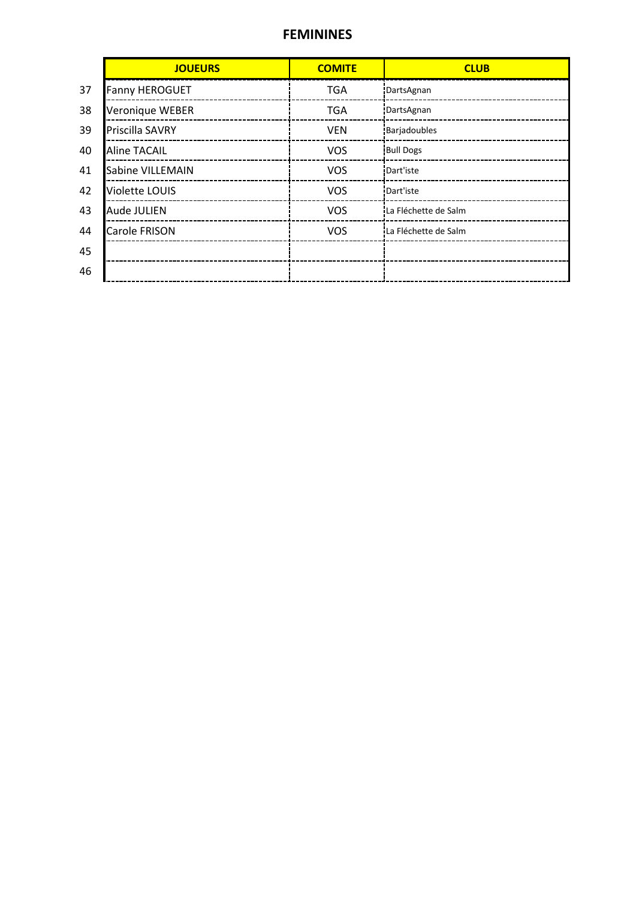#### FEMININES

|    | <b>JOUEURS</b>        | <b>COMITE</b> | <b>CLUB</b>          |
|----|-----------------------|---------------|----------------------|
| 37 | <b>Fanny HEROGUET</b> | <b>TGA</b>    | DartsAgnan           |
| 38 | Veronique WEBER       | <b>TGA</b>    | DartsAgnan           |
| 39 | Priscilla SAVRY       | <b>VEN</b>    | Barjadoubles         |
| 40 | <b>Aline TACAIL</b>   | <b>VOS</b>    | <b>Bull Dogs</b>     |
| 41 | Sabine VILLEMAIN      | <b>VOS</b>    | Dart'iste            |
| 42 | <b>Violette LOUIS</b> | <b>VOS</b>    | Dart'iste            |
| 43 | Aude JULIEN           | <b>VOS</b>    | La Fléchette de Salm |
| 44 | Carole FRISON         | <b>VOS</b>    | La Fléchette de Salm |
| 45 |                       |               |                      |
| 46 |                       |               |                      |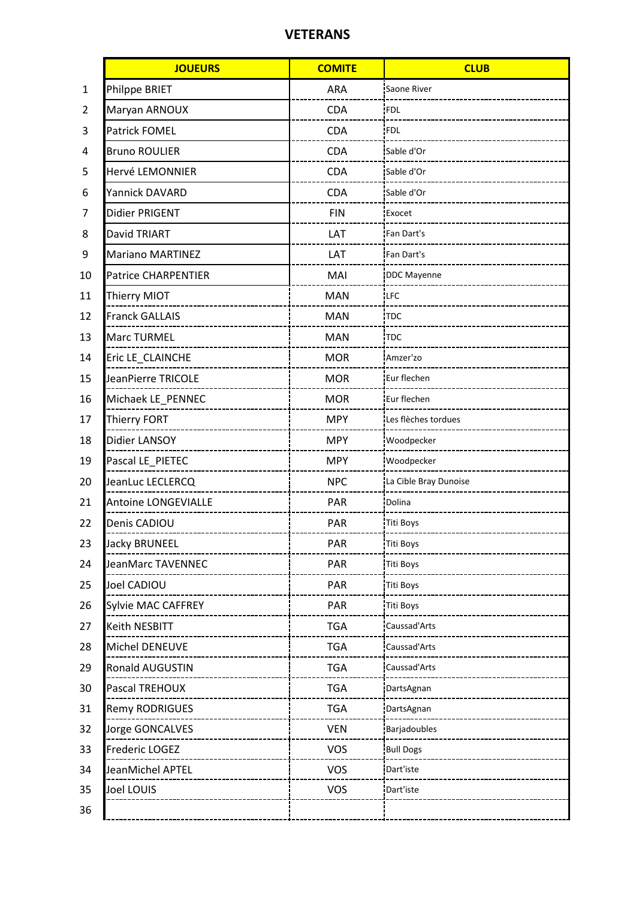## VETERANS

|    | <b>JOUEURS</b>             | <b>COMITE</b> | <b>CLUB</b>           |
|----|----------------------------|---------------|-----------------------|
| 1  | Philppe BRIET              | <b>ARA</b>    | Saone River           |
| 2  | Maryan ARNOUX              | CDA           | FDL                   |
| 3  | Patrick FOMEL              | <b>CDA</b>    | <b>FDL</b>            |
| 4  | <b>Bruno ROULIER</b>       | <b>CDA</b>    | Sable d'Or            |
| 5  | Hervé LEMONNIER            | CDA           | Sable d'Or            |
| 6  | Yannick DAVARD             | CDA           | Sable d'Or            |
| 7  | Didier PRIGENT             | <b>FIN</b>    | Exocet                |
| 8  | David TRIART               | LAT           | Fan Dart's            |
| 9  | <b>Mariano MARTINEZ</b>    | LAT           | Fan Dart's            |
| 10 | <b>Patrice CHARPENTIER</b> | MAI           | <b>DDC</b> Mayenne    |
| 11 | Thierry MIOT               | <b>MAN</b>    | <b>LFC</b>            |
| 12 | <b>Franck GALLAIS</b>      | <b>MAN</b>    | <b>TDC</b>            |
| 13 | Marc TURMEL                | <b>MAN</b>    | <b>TDC</b>            |
| 14 | Eric LE_CLAINCHE           | <b>MOR</b>    | Amzer'zo              |
| 15 | JeanPierre TRICOLE         | <b>MOR</b>    | Eur flechen           |
| 16 | Michaek LE_PENNEC          | <b>MOR</b>    | Eur flechen           |
| 17 | Thierry FORT               | <b>MPY</b>    | Les flèches tordues   |
| 18 | Didier LANSOY              | <b>MPY</b>    | Woodpecker            |
| 19 | Pascal LE_PIETEC           | <b>MPY</b>    | Woodpecker            |
| 20 | JeanLuc LECLERCQ           | <b>NPC</b>    | La Cible Bray Dunoise |
| 21 | Antoine LONGEVIALLE        | <b>PAR</b>    | Dolina                |
| 22 | Denis CADIOU               | PAR           | Titi Boys             |
| 23 | Jacky BRUNEEL              | PAR           | Titi Boys             |
| 24 | JeanMarc TAVENNEC          | PAR           | Titi Boys             |
| 25 | Joel CADIOU                | PAR           | <b>Titi Boys</b>      |
| 26 | Sylvie MAC CAFFREY         | PAR           | <b>Titi Boys</b>      |
| 27 | Keith NESBITT              | <b>TGA</b>    | Caussad'Arts          |
| 28 | Michel DENEUVE             | <b>TGA</b>    | Caussad'Arts          |
| 29 | Ronald AUGUSTIN            | <b>TGA</b>    | Caussad'Arts          |
| 30 | Pascal TREHOUX             | <b>TGA</b>    | DartsAgnan            |
| 31 | <b>Remy RODRIGUES</b>      | <b>TGA</b>    | DartsAgnan            |
| 32 | Jorge GONCALVES            | <b>VEN</b>    | Barjadoubles          |
| 33 | Frederic LOGEZ             | <b>VOS</b>    | <b>Bull Dogs</b>      |
| 34 | JeanMichel APTEL           | <b>VOS</b>    | Dart'iste             |
| 35 | Joel LOUIS                 | <b>VOS</b>    | Dart'iste             |
| 36 |                            |               |                       |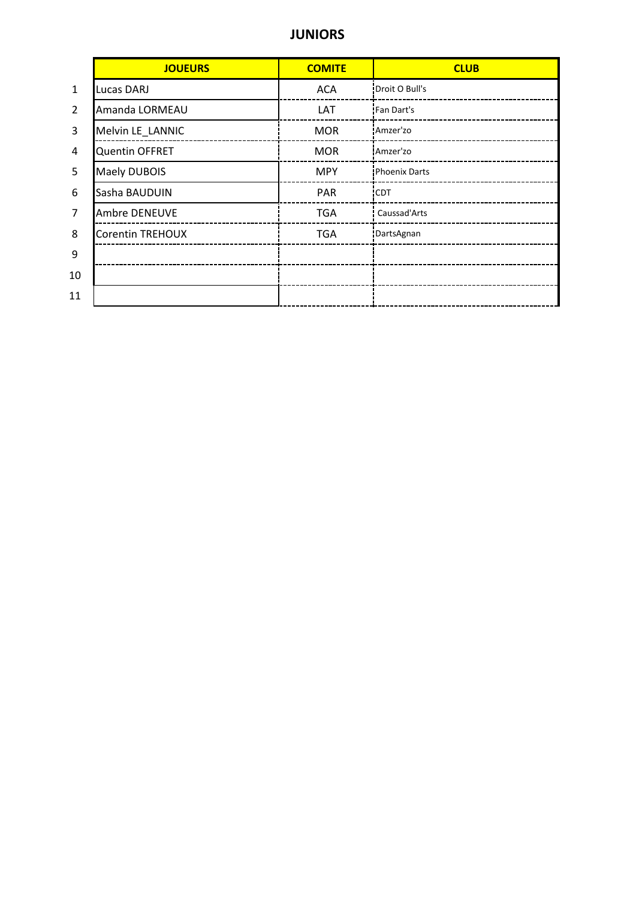## JUNIORS

|                | <b>JOUEURS</b>          | <b>COMITE</b> | <b>CLUB</b>          |
|----------------|-------------------------|---------------|----------------------|
| $\mathbf{1}$   | Lucas DARJ              | <b>ACA</b>    | Droit O Bull's       |
| $\overline{2}$ | Amanda LORMEAU          | LAT           | Fan Dart's           |
| 3              | Melvin LE_LANNIC        | <b>MOR</b>    | Amzer'zo             |
| 4              | Quentin OFFRET          | <b>MOR</b>    | Amzer'zo             |
| 5              | <b>Maely DUBOIS</b>     | <b>MPY</b>    | <b>Phoenix Darts</b> |
| 6              | Sasha BAUDUIN           | <b>PAR</b>    | 'CDT                 |
| 7              | Ambre DENEUVE           | <b>TGA</b>    | Caussad'Arts         |
| 8              | <b>Corentin TREHOUX</b> | <b>TGA</b>    | DartsAgnan           |
| 9              |                         |               |                      |
| 10             |                         |               |                      |
| 11             |                         |               |                      |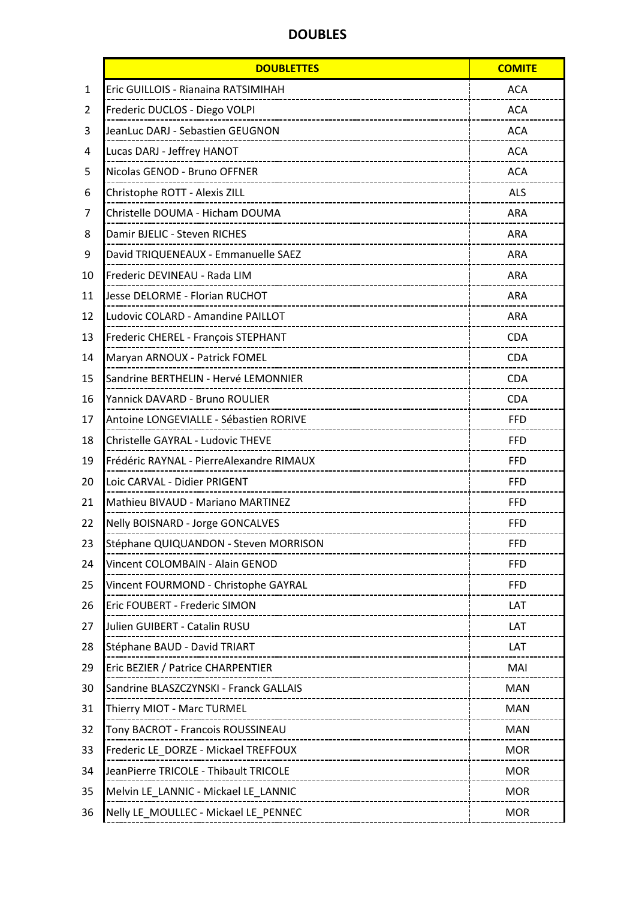# DOUBLES

|              | <b>DOUBLETTES</b>                                                        | <b>COMITE</b> |
|--------------|--------------------------------------------------------------------------|---------------|
| $\mathbf{1}$ | Eric GUILLOIS - Rianaina RATSIMIHAH                                      | <b>ACA</b>    |
| 2            | Frederic DUCLOS - Diego VOLPI                                            | <b>ACA</b>    |
| 3            | JeanLuc DARJ - Sebastien GEUGNON                                         | <b>ACA</b>    |
| 4            | Lucas DARJ - Jeffrey HANOT<br>____________________________               | <b>ACA</b>    |
| 5            | Nicolas GENOD - Bruno OFFNER                                             | <b>ACA</b>    |
| 6            | Christophe ROTT - Alexis ZILL                                            | <b>ALS</b>    |
| 7            | Christelle DOUMA - Hicham DOUMA                                          | <b>ARA</b>    |
| 8            | Damir BJELIC - Steven RICHES                                             | <b>ARA</b>    |
| 9            | David TRIQUENEAUX - Emmanuelle SAEZ                                      | <b>ARA</b>    |
| 10           | Frederic DEVINEAU - Rada LIM                                             | <b>ARA</b>    |
| 11           | Jesse DELORME - Florian RUCHOT                                           | <b>ARA</b>    |
| 12           | Ludovic COLARD - Amandine PAILLOT                                        | <b>ARA</b>    |
| 13           | Frederic CHEREL - François STEPHANT                                      | <b>CDA</b>    |
| 14           | Maryan ARNOUX - Patrick FOMEL                                            | <b>CDA</b>    |
| 15           | Sandrine BERTHELIN - Hervé LEMONNIER                                     | <b>CDA</b>    |
| 16           | Yannick DAVARD - Bruno ROULIER                                           | <b>CDA</b>    |
| 17           | Antoine LONGEVIALLE - Sébastien RORIVE                                   | <b>FFD</b>    |
| 18           | Christelle GAYRAL - Ludovic THEVE                                        | <b>FFD</b>    |
| 19           | Frédéric RAYNAL - PierreAlexandre RIMAUX                                 | <b>FFD</b>    |
| 20           | Loic CARVAL - Didier PRIGENT                                             | <b>FFD</b>    |
| 21           | Mathieu BIVAUD - Mariano MARTINEZ                                        | <b>FFD</b>    |
| 22           | Nelly BOISNARD - Jorge GONCALVES                                         | <b>FFD</b>    |
| 23           | Stéphane QUIQUANDON - Steven MORRISON                                    | <b>FFD</b>    |
| 24           | Vincent COLOMBAIN - Alain GENOD<br>_________________________________     | <b>FFD</b>    |
| 25           | Vincent FOURMOND - Christophe GAYRAL<br>--------------------------       | <b>FFD</b>    |
| 26           | Eric FOUBERT - Frederic SIMON<br>--------------------------------------  | LAT           |
| 27           | Julien GUIBERT - Catalin RUSU<br>--------------------------------------  | LAT           |
| 28           | Stéphane BAUD - David TRIART                                             | LAT           |
| 29           | Eric BEZIER / Patrice CHARPENTIER<br>______________________________      | MAI           |
| 30           | Sandrine BLASZCZYNSKI - Franck GALLAIS<br>______________________________ | <b>MAN</b>    |
| 31           | Thierry MIOT - Marc TURMEL<br>_____________________________________      | <b>MAN</b>    |
| 32           | Tony BACROT - Francois ROUSSINEAU<br>---------------------------------   | <b>MAN</b>    |
| 33           | Frederic LE DORZE - Mickael TREFFOUX<br>-------------------------------- | <b>MOR</b>    |
| 34           | JeanPierre TRICOLE - Thibault TRICOLE                                    | <b>MOR</b>    |
| 35           | Melvin LE_LANNIC - Mickael LE_LANNIC<br>---------------------------      | <b>MOR</b>    |
| 36           | Nelly LE_MOULLEC - Mickael LE_PENNEC                                     | <b>MOR</b>    |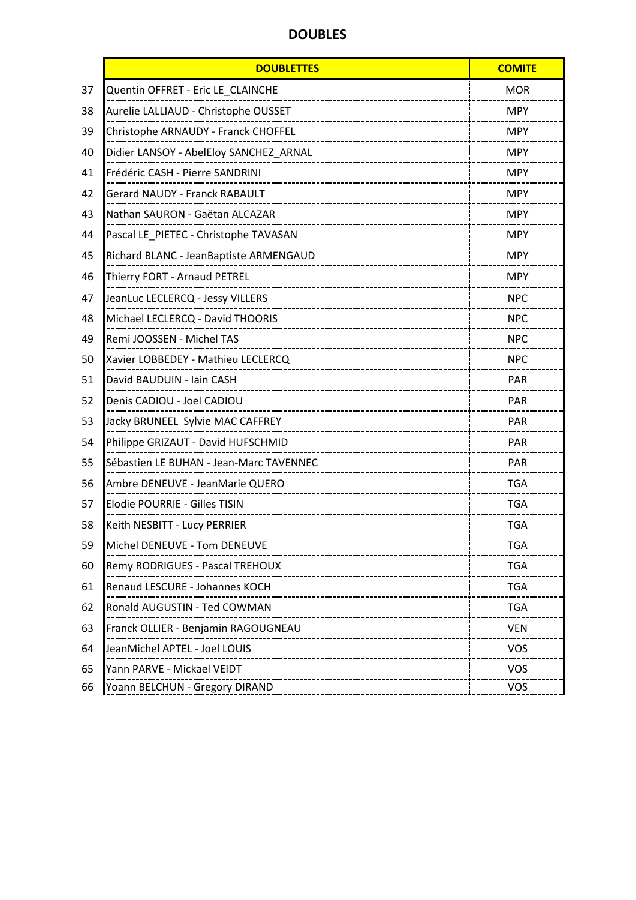# DOUBLES

|    | <b>DOUBLETTES</b>                                                    | <b>COMITE</b> |
|----|----------------------------------------------------------------------|---------------|
| 37 | Quentin OFFRET - Eric LE CLAINCHE                                    | <b>MOR</b>    |
| 38 | Aurelie LALLIAUD - Christophe OUSSET                                 | <b>MPY</b>    |
| 39 | Christophe ARNAUDY - Franck CHOFFEL                                  | <b>MPY</b>    |
| 40 | Didier LANSOY - AbelEloy SANCHEZ_ARNAL                               | <b>MPY</b>    |
| 41 | Frédéric CASH - Pierre SANDRINI                                      | <b>MPY</b>    |
| 42 | <b>Gerard NAUDY - Franck RABAULT</b>                                 | <b>MPY</b>    |
| 43 | Nathan SAURON - Gaëtan ALCAZAR                                       | <b>MPY</b>    |
| 44 | Pascal LE_PIETEC - Christophe TAVASAN                                | <b>MPY</b>    |
| 45 | Richard BLANC - JeanBaptiste ARMENGAUD                               | <b>MPY</b>    |
| 46 | Thierry FORT - Arnaud PETREL                                         | <b>MPY</b>    |
| 47 | JeanLuc LECLERCQ - Jessy VILLERS                                     | <b>NPC</b>    |
| 48 | Michael LECLERCQ - David THOORIS                                     | <b>NPC</b>    |
| 49 | Remi JOOSSEN - Michel TAS                                            | <b>NPC</b>    |
| 50 | Xavier LOBBEDEY - Mathieu LECLERCQ                                   | <b>NPC</b>    |
| 51 | David BAUDUIN - Iain CASH                                            | <b>PAR</b>    |
| 52 | Denis CADIOU - Joel CADIOU                                           | <b>PAR</b>    |
| 53 | Jacky BRUNEEL Sylvie MAC CAFFREY                                     | <b>PAR</b>    |
| 54 | Philippe GRIZAUT - David HUFSCHMID                                   | <b>PAR</b>    |
| 55 | Sébastien LE BUHAN - Jean-Marc TAVENNEC                              | <b>PAR</b>    |
| 56 | Ambre DENEUVE - JeanMarie QUERO                                      | <b>TGA</b>    |
| 57 | Elodie POURRIE - Gilles TISIN                                        | <b>TGA</b>    |
| 58 | Keith NESBITT - Lucy PERRIER                                         | <b>TGA</b>    |
| 59 | Michel DENEUVE - Tom DENEUVE<br>______________________________       | <b>TGA</b>    |
| 60 | Remy RODRIGUES - Pascal TREHOUX<br>--------------------------------- | <b>TGA</b>    |
| 61 | Renaud LESCURE - Johannes KOCH                                       | <b>TGA</b>    |
| 62 | Ronald AUGUSTIN - Ted COWMAN<br>---------------------------          | <b>TGA</b>    |
| 63 | Franck OLLIER - Benjamin RAGOUGNEAU<br>___________________________   | <b>VEN</b>    |
| 64 | JeanMichel APTEL - Joel LOUIS                                        | <b>VOS</b>    |
| 65 | Yann PARVE - Mickael VEIDT<br>-------------------------------------  | <b>VOS</b>    |
| 66 | Yoann BELCHUN - Gregory DIRAND                                       | <b>VOS</b>    |